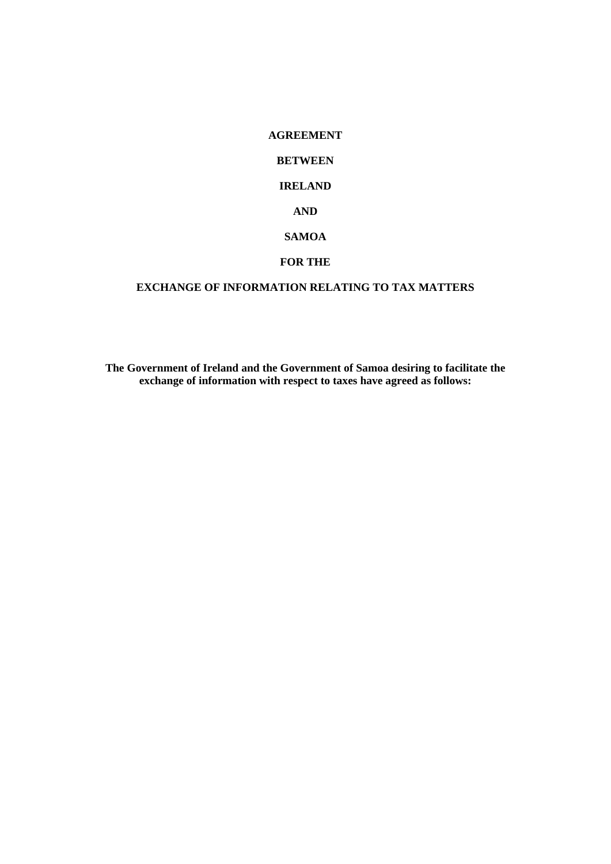# **AGREEMENT**

**BETWEEN** 

**IRELAND** 

**AND** 

# **SAMOA**

### **FOR THE**

# **EXCHANGE OF INFORMATION RELATING TO TAX MATTERS**

**The Government of Ireland and the Government of Samoa desiring to facilitate the exchange of information with respect to taxes have agreed as follows:**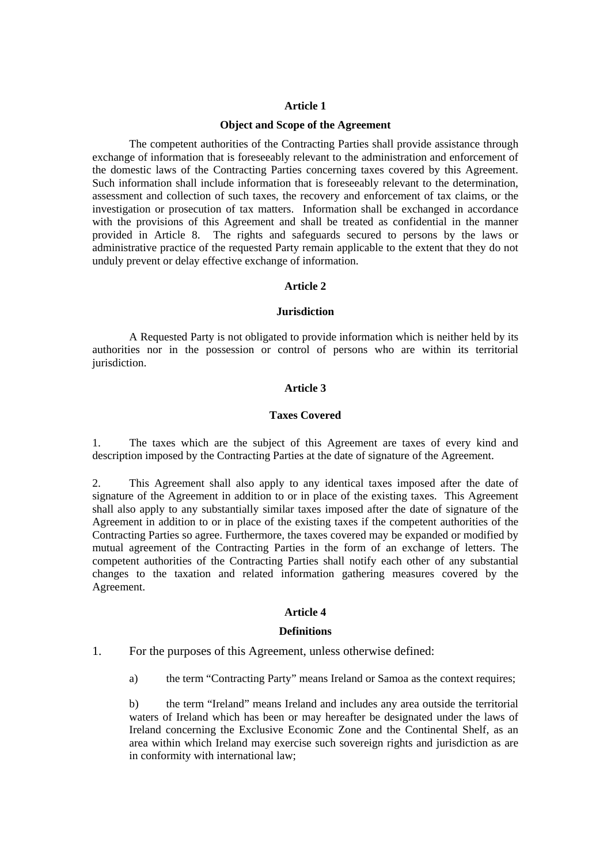#### **Article 1**

#### **Object and Scope of the Agreement**

The competent authorities of the Contracting Parties shall provide assistance through exchange of information that is foreseeably relevant to the administration and enforcement of the domestic laws of the Contracting Parties concerning taxes covered by this Agreement. Such information shall include information that is foreseeably relevant to the determination, assessment and collection of such taxes, the recovery and enforcement of tax claims, or the investigation or prosecution of tax matters. Information shall be exchanged in accordance with the provisions of this Agreement and shall be treated as confidential in the manner provided in Article 8. The rights and safeguards secured to persons by the laws or administrative practice of the requested Party remain applicable to the extent that they do not unduly prevent or delay effective exchange of information.

### **Article 2**

#### **Jurisdiction**

A Requested Party is not obligated to provide information which is neither held by its authorities nor in the possession or control of persons who are within its territorial jurisdiction.

#### **Article 3**

### **Taxes Covered**

1. The taxes which are the subject of this Agreement are taxes of every kind and description imposed by the Contracting Parties at the date of signature of the Agreement.

2. This Agreement shall also apply to any identical taxes imposed after the date of signature of the Agreement in addition to or in place of the existing taxes. This Agreement shall also apply to any substantially similar taxes imposed after the date of signature of the Agreement in addition to or in place of the existing taxes if the competent authorities of the Contracting Parties so agree. Furthermore, the taxes covered may be expanded or modified by mutual agreement of the Contracting Parties in the form of an exchange of letters. The competent authorities of the Contracting Parties shall notify each other of any substantial changes to the taxation and related information gathering measures covered by the Agreement.

### **Article 4**

#### **Definitions**

1. For the purposes of this Agreement, unless otherwise defined:

a) the term "Contracting Party" means Ireland or Samoa as the context requires;

b) the term "Ireland" means Ireland and includes any area outside the territorial waters of Ireland which has been or may hereafter be designated under the laws of Ireland concerning the Exclusive Economic Zone and the Continental Shelf, as an area within which Ireland may exercise such sovereign rights and jurisdiction as are in conformity with international law;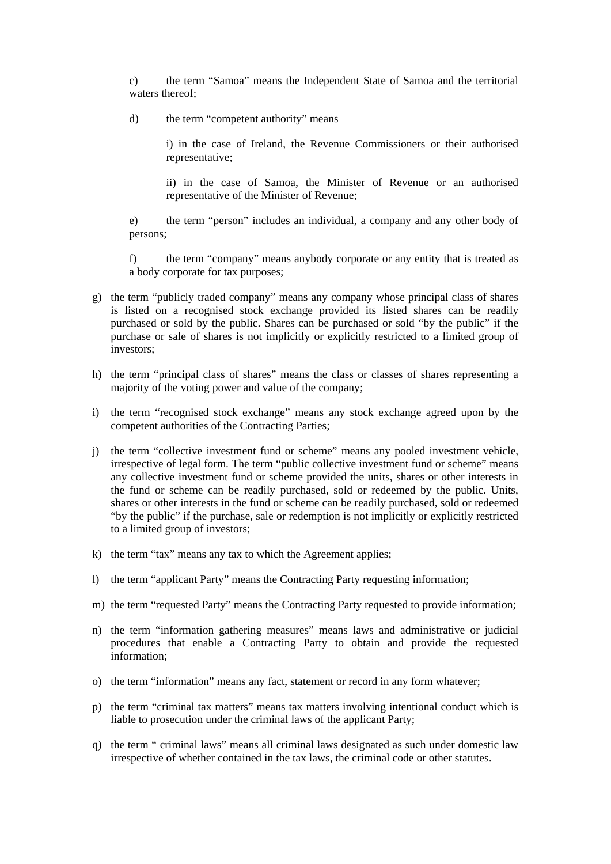c) the term "Samoa" means the Independent State of Samoa and the territorial waters thereof;

d) the term "competent authority" means

i) in the case of Ireland, the Revenue Commissioners or their authorised representative;

ii) in the case of Samoa, the Minister of Revenue or an authorised representative of the Minister of Revenue;

e) the term "person" includes an individual, a company and any other body of persons;

f) the term "company" means anybody corporate or any entity that is treated as a body corporate for tax purposes;

- g) the term "publicly traded company" means any company whose principal class of shares is listed on a recognised stock exchange provided its listed shares can be readily purchased or sold by the public. Shares can be purchased or sold "by the public" if the purchase or sale of shares is not implicitly or explicitly restricted to a limited group of investors;
- h) the term "principal class of shares" means the class or classes of shares representing a majority of the voting power and value of the company;
- i) the term "recognised stock exchange" means any stock exchange agreed upon by the competent authorities of the Contracting Parties;
- j) the term "collective investment fund or scheme" means any pooled investment vehicle, irrespective of legal form. The term "public collective investment fund or scheme" means any collective investment fund or scheme provided the units, shares or other interests in the fund or scheme can be readily purchased, sold or redeemed by the public. Units, shares or other interests in the fund or scheme can be readily purchased, sold or redeemed "by the public" if the purchase, sale or redemption is not implicitly or explicitly restricted to a limited group of investors;
- k) the term "tax" means any tax to which the Agreement applies;
- l) the term "applicant Party" means the Contracting Party requesting information;
- m) the term "requested Party" means the Contracting Party requested to provide information;
- n) the term "information gathering measures" means laws and administrative or judicial procedures that enable a Contracting Party to obtain and provide the requested information;
- o) the term "information" means any fact, statement or record in any form whatever;
- p) the term "criminal tax matters" means tax matters involving intentional conduct which is liable to prosecution under the criminal laws of the applicant Party;
- q) the term " criminal laws" means all criminal laws designated as such under domestic law irrespective of whether contained in the tax laws, the criminal code or other statutes.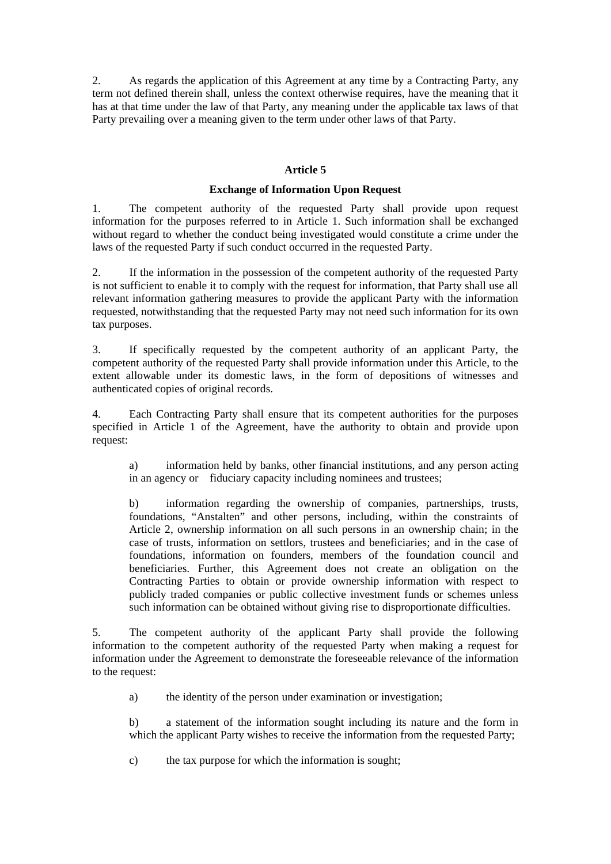2. As regards the application of this Agreement at any time by a Contracting Party, any term not defined therein shall, unless the context otherwise requires, have the meaning that it has at that time under the law of that Party, any meaning under the applicable tax laws of that Party prevailing over a meaning given to the term under other laws of that Party.

# **Article 5**

### **Exchange of Information Upon Request**

1. The competent authority of the requested Party shall provide upon request information for the purposes referred to in Article 1. Such information shall be exchanged without regard to whether the conduct being investigated would constitute a crime under the laws of the requested Party if such conduct occurred in the requested Party.

2. If the information in the possession of the competent authority of the requested Party is not sufficient to enable it to comply with the request for information, that Party shall use all relevant information gathering measures to provide the applicant Party with the information requested, notwithstanding that the requested Party may not need such information for its own tax purposes.

3. If specifically requested by the competent authority of an applicant Party, the competent authority of the requested Party shall provide information under this Article, to the extent allowable under its domestic laws, in the form of depositions of witnesses and authenticated copies of original records.

4. Each Contracting Party shall ensure that its competent authorities for the purposes specified in Article 1 of the Agreement, have the authority to obtain and provide upon request:

a) information held by banks, other financial institutions, and any person acting in an agency or fiduciary capacity including nominees and trustees;

b) information regarding the ownership of companies, partnerships, trusts, foundations, "Anstalten" and other persons, including, within the constraints of Article 2, ownership information on all such persons in an ownership chain; in the case of trusts, information on settlors, trustees and beneficiaries; and in the case of foundations, information on founders, members of the foundation council and beneficiaries. Further, this Agreement does not create an obligation on the Contracting Parties to obtain or provide ownership information with respect to publicly traded companies or public collective investment funds or schemes unless such information can be obtained without giving rise to disproportionate difficulties.

5. The competent authority of the applicant Party shall provide the following information to the competent authority of the requested Party when making a request for information under the Agreement to demonstrate the foreseeable relevance of the information to the request:

a) the identity of the person under examination or investigation;

b) a statement of the information sought including its nature and the form in which the applicant Party wishes to receive the information from the requested Party;

c) the tax purpose for which the information is sought;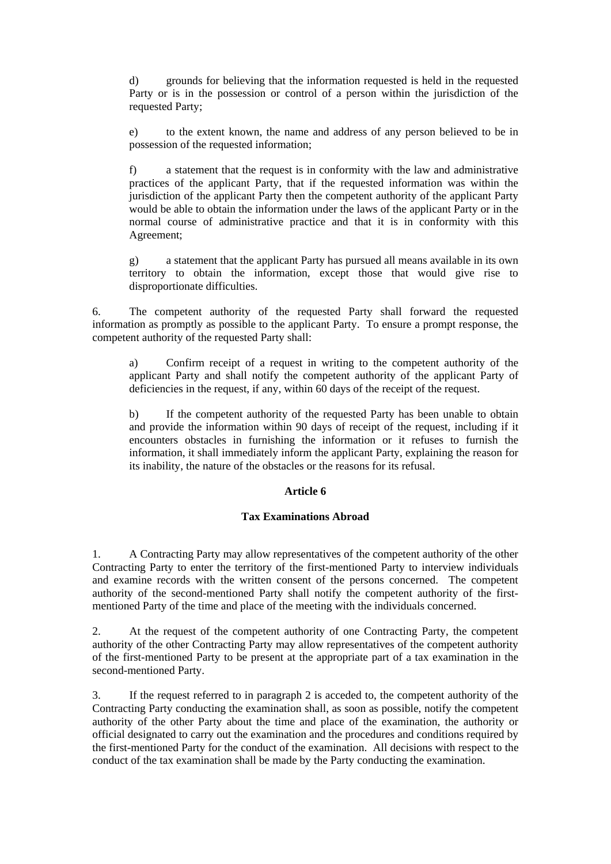d) grounds for believing that the information requested is held in the requested Party or is in the possession or control of a person within the jurisdiction of the requested Party;

e) to the extent known, the name and address of any person believed to be in possession of the requested information;

f) a statement that the request is in conformity with the law and administrative practices of the applicant Party, that if the requested information was within the jurisdiction of the applicant Party then the competent authority of the applicant Party would be able to obtain the information under the laws of the applicant Party or in the normal course of administrative practice and that it is in conformity with this Agreement;

g) a statement that the applicant Party has pursued all means available in its own territory to obtain the information, except those that would give rise to disproportionate difficulties.

6. The competent authority of the requested Party shall forward the requested information as promptly as possible to the applicant Party. To ensure a prompt response, the competent authority of the requested Party shall:

a) Confirm receipt of a request in writing to the competent authority of the applicant Party and shall notify the competent authority of the applicant Party of deficiencies in the request, if any, within 60 days of the receipt of the request.

b) If the competent authority of the requested Party has been unable to obtain and provide the information within 90 days of receipt of the request, including if it encounters obstacles in furnishing the information or it refuses to furnish the information, it shall immediately inform the applicant Party, explaining the reason for its inability, the nature of the obstacles or the reasons for its refusal.

### **Article 6**

#### **Tax Examinations Abroad**

1. A Contracting Party may allow representatives of the competent authority of the other Contracting Party to enter the territory of the first-mentioned Party to interview individuals and examine records with the written consent of the persons concerned. The competent authority of the second-mentioned Party shall notify the competent authority of the firstmentioned Party of the time and place of the meeting with the individuals concerned.

2. At the request of the competent authority of one Contracting Party, the competent authority of the other Contracting Party may allow representatives of the competent authority of the first-mentioned Party to be present at the appropriate part of a tax examination in the second-mentioned Party.

3. If the request referred to in paragraph 2 is acceded to, the competent authority of the Contracting Party conducting the examination shall, as soon as possible, notify the competent authority of the other Party about the time and place of the examination, the authority or official designated to carry out the examination and the procedures and conditions required by the first-mentioned Party for the conduct of the examination. All decisions with respect to the conduct of the tax examination shall be made by the Party conducting the examination.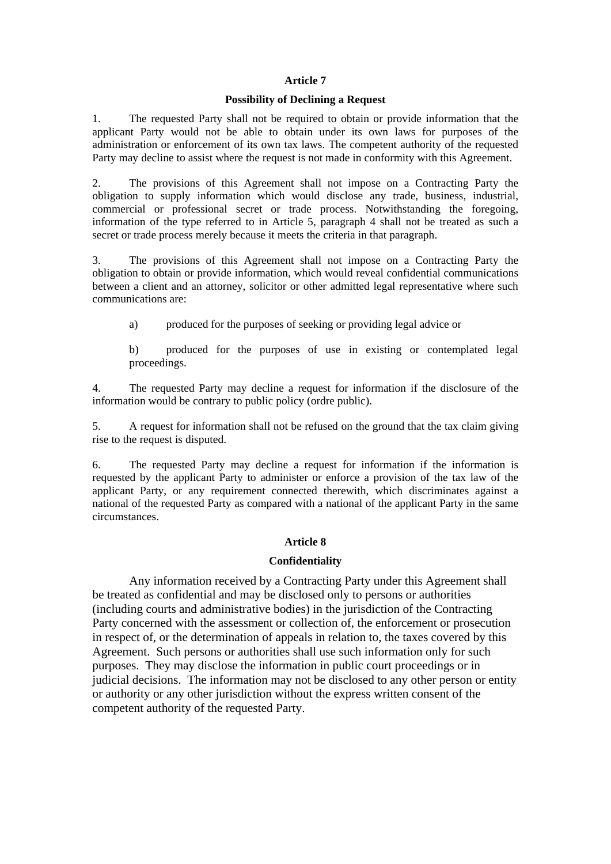#### **Article 7**

### **Possibility of Declining a Request**

1. The requested Party shall not be required to obtain or provide information that the applicant Party would not be able to obtain under its own laws for purposes of the administration or enforcement of its own tax laws. The competent authority of the requested Party may decline to assist where the request is not made in conformity with this Agreement.

2. The provisions of this Agreement shall not impose on a Contracting Party the obligation to supply information which would disclose any trade, business, industrial, commercial or professional secret or trade process. Notwithstanding the foregoing, information of the type referred to in Article 5, paragraph 4 shall not be treated as such a secret or trade process merely because it meets the criteria in that paragraph.

3. The provisions of this Agreement shall not impose on a Contracting Party the obligation to obtain or provide information, which would reveal confidential communications between a client and an attorney, solicitor or other admitted legal representative where such communications are:

a) produced for the purposes of seeking or providing legal advice or

b) produced for the purposes of use in existing or contemplated legal proceedings.

4. The requested Party may decline a request for information if the disclosure of the information would be contrary to public policy (ordre public).

5. A request for information shall not be refused on the ground that the tax claim giving rise to the request is disputed.

6. The requested Party may decline a request for information if the information is requested by the applicant Party to administer or enforce a provision of the tax law of the applicant Party, or any requirement connected therewith, which discriminates against a national of the requested Party as compared with a national of the applicant Party in the same circumstances.

### **Article 8**

#### **Confidentiality**

Any information received by a Contracting Party under this Agreement shall be treated as confidential and may be disclosed only to persons or authorities (including courts and administrative bodies) in the jurisdiction of the Contracting Party concerned with the assessment or collection of, the enforcement or prosecution in respect of, or the determination of appeals in relation to, the taxes covered by this Agreement. Such persons or authorities shall use such information only for such purposes. They may disclose the information in public court proceedings or in judicial decisions. The information may not be disclosed to any other person or entity or authority or any other jurisdiction without the express written consent of the competent authority of the requested Party.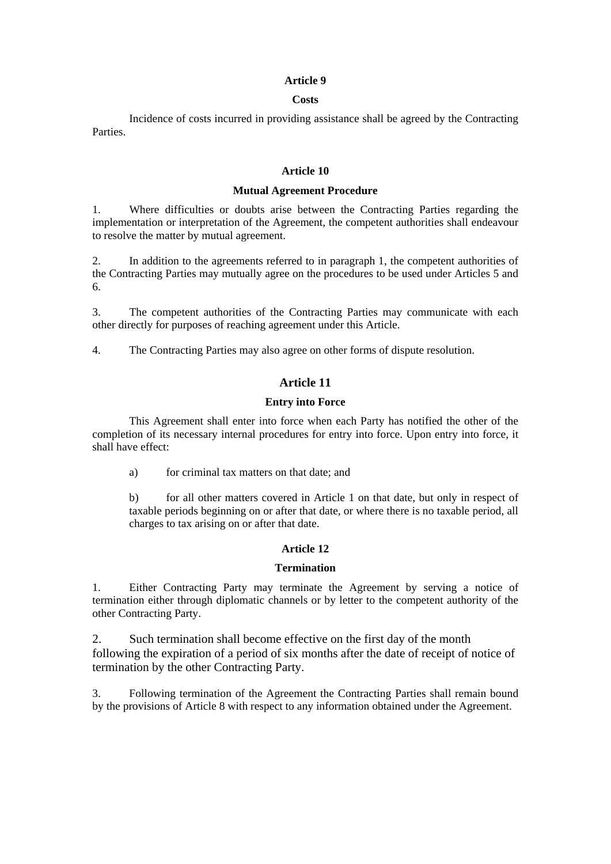#### **Article 9**

### **Costs**

 Incidence of costs incurred in providing assistance shall be agreed by the Contracting **Parties** 

### **Article 10**

#### **Mutual Agreement Procedure**

1. Where difficulties or doubts arise between the Contracting Parties regarding the implementation or interpretation of the Agreement, the competent authorities shall endeavour to resolve the matter by mutual agreement.

2. In addition to the agreements referred to in paragraph 1, the competent authorities of the Contracting Parties may mutually agree on the procedures to be used under Articles 5 and 6.

3. The competent authorities of the Contracting Parties may communicate with each other directly for purposes of reaching agreement under this Article.

4. The Contracting Parties may also agree on other forms of dispute resolution.

# **Article 11**

### **Entry into Force**

 This Agreement shall enter into force when each Party has notified the other of the completion of its necessary internal procedures for entry into force. Upon entry into force, it shall have effect:

a) for criminal tax matters on that date; and

b) for all other matters covered in Article 1 on that date, but only in respect of taxable periods beginning on or after that date, or where there is no taxable period, all charges to tax arising on or after that date.

### **Article 12**

#### **Termination**

1. Either Contracting Party may terminate the Agreement by serving a notice of termination either through diplomatic channels or by letter to the competent authority of the other Contracting Party.

2. Such termination shall become effective on the first day of the month following the expiration of a period of six months after the date of receipt of notice of termination by the other Contracting Party.

3. Following termination of the Agreement the Contracting Parties shall remain bound by the provisions of Article 8 with respect to any information obtained under the Agreement.